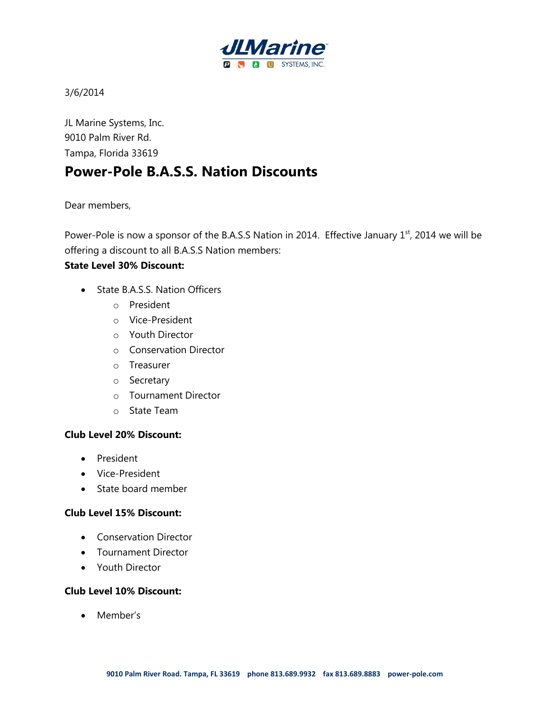

3/6/2014

JL Marine Systems, Inc. 9010 Palm River Rd. Tampa, Florida 33619

# **Power-Pole B.A.S.S. Nation Discounts**

Dear members,

Power-Pole is now a sponsor of the B.A.S.S Nation in 2014. Effective January 1st, 2014 we will be offering a discount to all B.A.S.S Nation members:

## **State Level 30% Discount:**

- State B.A.S.S. Nation Officers
	- o President
	- o Vice-President
	- o Youth Director
	- o Conservation Director
	- o Treasurer
	- o Secretary
	- o Tournament Director
	- o State Team

## **Club Level 20% Discount:**

- President
- Vice-President
- State board member

### **Club Level 15% Discount:**

- Conservation Director
- Tournament Director
- Youth Director

### **Club Level 10% Discount:**

• Member's